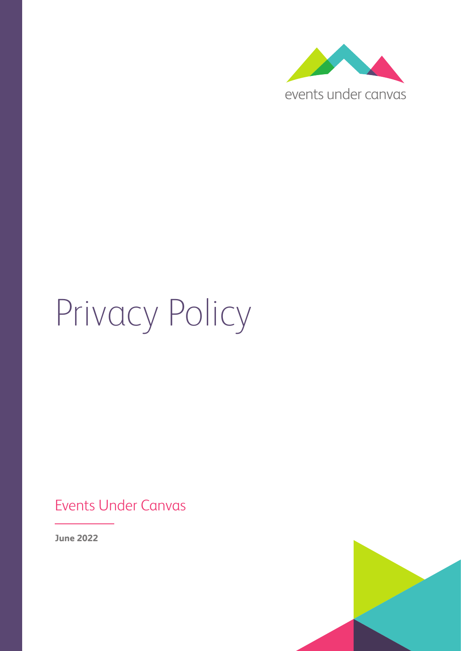

# Privacy Policy

## Events Under Canvas

**June 2022**

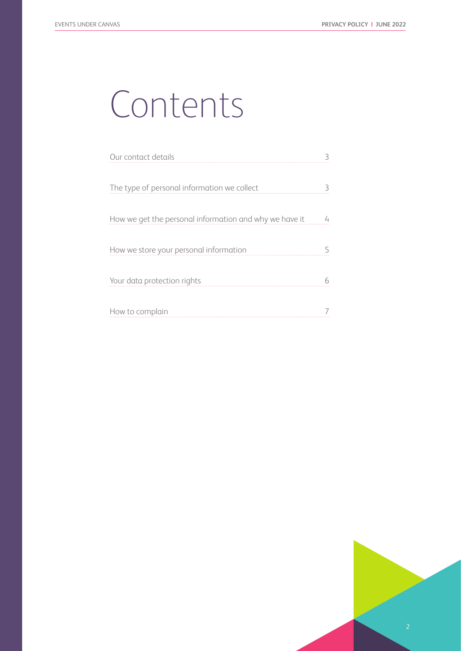# Contents

| Our contact details                                    |  |
|--------------------------------------------------------|--|
|                                                        |  |
| The type of personal information we collect            |  |
|                                                        |  |
| How we get the personal information and why we have it |  |
|                                                        |  |
| How we store your personal information                 |  |
|                                                        |  |
| Your data protection rights                            |  |
|                                                        |  |
| How to complain                                        |  |
|                                                        |  |

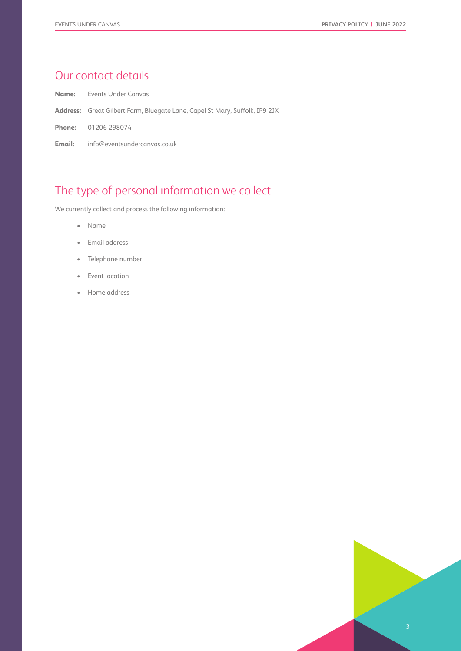#### Our contact details

**Name:** Events Under Canvas

- **Address:** Great Gilbert Farm, Bluegate Lane, Capel St Mary, Suffolk, IP9 2JX
- **Phone:** 01206 298074

**Email:** info@eventsundercanvas.co.uk

#### The type of personal information we collect

We currently collect and process the following information:

- Name
- Email address
- Telephone number
- Event location
- Home address

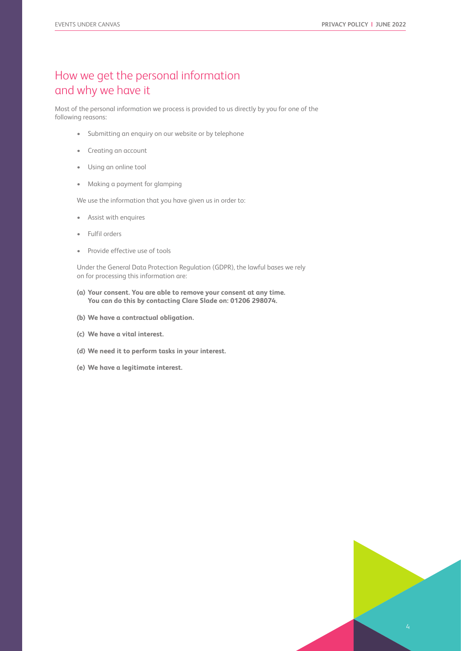#### How we get the personal information and why we have it

Most of the personal information we process is provided to us directly by you for one of the following reasons:

- Submitting an enquiry on our website or by telephone
- Creating an account
- Using an online tool
- Making a payment for glamping

We use the information that you have given us in order to:

- Assist with enquires
- Fulfil orders
- Provide effective use of tools

Under the General Data Protection Regulation (GDPR), the lawful bases we rely on for processing this information are:

- **(a) Your consent. You are able to remove your consent at any time. You can do this by contacting Clare Slade on: 01206 298074.**
- **(b) We have a contractual obligation.**
- **(c) We have a vital interest.**
- **(d) We need it to perform tasks in your interest.**
- **(e) We have a legitimate interest.**

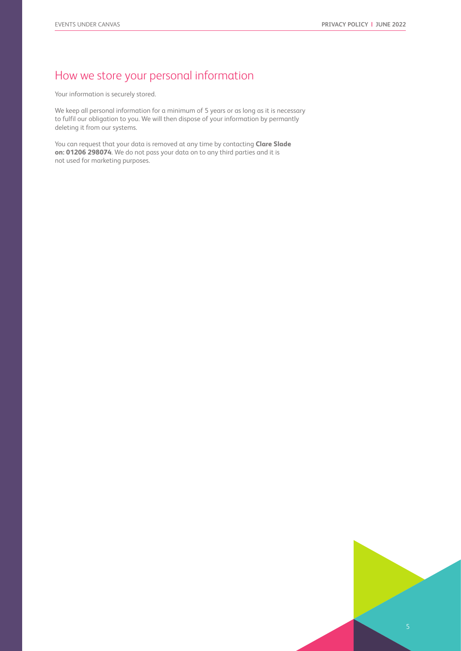### How we store your personal information

Your information is securely stored.

We keep all personal information for a minimum of 5 years or as long as it is necessary to fulfil our obligation to you. We will then dispose of your information by permantly deleting it from our systems.

You can request that your data is removed at any time by contacting **Clare Slade on: 01206 298074**. We do not pass your data on to any third parties and it is not used for marketing purposes.

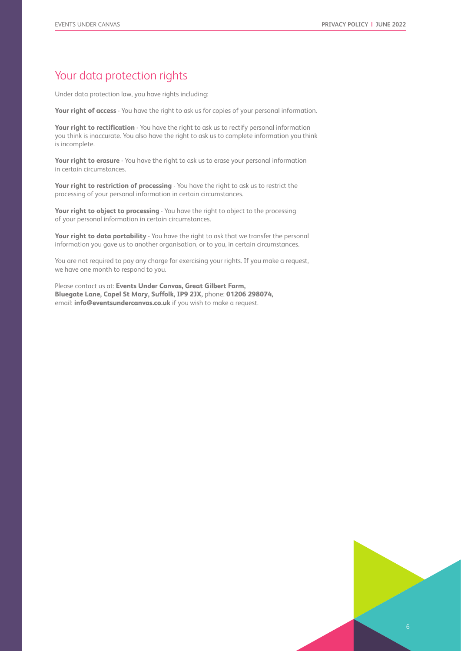#### Your data protection rights

Under data protection law, you have rights including:

**Your right of access** - You have the right to ask us for copies of your personal information.

Your right to rectification - You have the right to ask us to rectify personal information you think is inaccurate. You also have the right to ask us to complete information you think is incomplete.

**Your right to erasure** - You have the right to ask us to erase your personal information in certain circumstances.

**Your right to restriction of processing** - You have the right to ask us to restrict the processing of your personal information in certain circumstances.

**Your right to object to processing** - You have the right to object to the processing of your personal information in certain circumstances.

**Your right to data portability** - You have the right to ask that we transfer the personal information you gave us to another organisation, or to you, in certain circumstances.

You are not required to pay any charge for exercising your rights. If you make a request, we have one month to respond to you.

Please contact us at: **Events Under Canvas, Great Gilbert Farm, Bluegate Lane, Capel St Mary, Suffolk, IP9 2JX,** phone: **01206 298074,**  email: **info@eventsundercanvas.co.uk** if you wish to make a request.

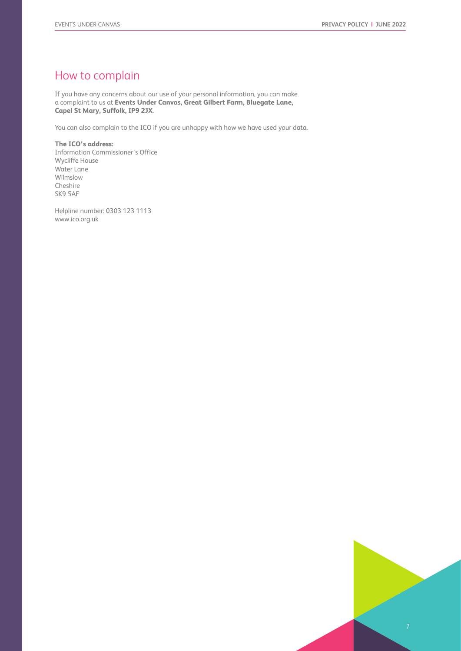#### How to complain

If you have any concerns about our use of your personal information, you can make a complaint to us at **Events Under Canvas, Great Gilbert Farm, Bluegate Lane, Capel St Mary, Suffolk, IP9 2JX**.

You can also complain to the ICO if you are unhappy with how we have used your data.

**The ICO's address:** Information Commissioner's Office Wycliffe House Water Lane Wilmslow Cheshire SK9 5AF

Helpline number: 0303 123 1113 www.ico.org.uk